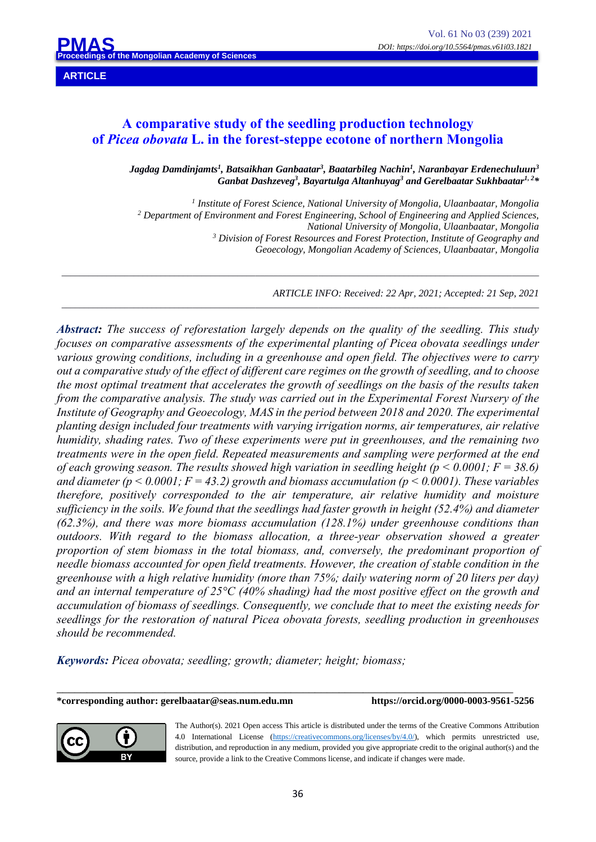**PMAS Mongolian Academy of Scien** 

# **A comparative study of the seedling production technology of** *Picea obovata* **L. in the forest-steppe ecotone of northern Mongolia**

*\_\_\_\_\_\_\_\_\_\_\_\_\_\_\_\_\_\_\_\_\_\_\_\_\_\_\_\_\_\_\_\_\_\_\_\_\_\_\_\_\_\_\_\_\_\_\_\_\_\_\_\_\_\_\_\_\_\_\_\_\_\_\_\_\_\_\_\_\_\_\_\_\_\_\_\_\_\_\_\_\_\_\_\_\_\_\_\_\_\_\_\_\_\_\_\_\_\_\_\_\_\_\_\_\_\_*

*\_\_\_\_\_\_\_\_\_\_\_\_\_\_\_\_\_\_\_\_\_\_\_\_\_\_\_\_\_\_\_\_\_\_\_\_\_\_\_\_\_\_\_\_\_\_\_\_\_\_\_\_\_\_\_\_\_\_\_\_\_\_\_\_\_\_\_\_\_\_\_\_\_\_\_\_\_\_\_\_\_\_\_\_\_\_\_\_\_\_\_\_\_\_\_\_\_\_\_\_\_\_\_\_\_\_*

*Jagdag Damdinjamts1 , Batsaikhan Ganbaatar3 , Baatarbileg Nachin1 , Naranbayar Erdenechuluun3 Ganbat Dashzeveg3 , Bayartulga Altanhuyag3 and Gerelbaatar Sukhbaatar1, 2 \**

*<sup>1</sup> Institute of Forest Science, National University of Mongolia, Ulaanbaatar, Mongolia <sup>2</sup> Department of Environment and Forest Engineering, School of Engineering and Applied Sciences, National University of Mongolia, Ulaanbaatar, Mongolia <sup>3</sup> Division of Forest Resources and Forest Protection, Institute of Geography and Geoecology, Mongolian Academy of Sciences, Ulaanbaatar, Mongolia*

*ARTICLE INFO: Received: 22 Apr, 2021; Accepted: 21 Sep, 2021*

*Abstract: The success of reforestation largely depends on the quality of the seedling. This study focuses on comparative assessments of the experimental planting of Picea obovata seedlings under various growing conditions, including in a greenhouse and open field. The objectives were to carry out a comparative study of the effect of different care regimes on the growth of seedling, and to choose the most optimal treatment that accelerates the growth of seedlings on the basis of the results taken from the comparative analysis. The study was carried out in the Experimental Forest Nursery of the Institute of Geography and Geoecology, MAS in the period between 2018 and 2020. The experimental planting design included four treatments with varying irrigation norms, air temperatures, air relative humidity, shading rates. Two of these experiments were put in greenhouses, and the remaining two treatments were in the open field. Repeated measurements and sampling were performed at the end of each growing season. The results showed high variation in seedling height (p < 0.0001; F = 38.6) and diameter (p < 0.0001; F = 43.2) growth and biomass accumulation (p < 0.0001). These variables therefore, positively corresponded to the air temperature, air relative humidity and moisture sufficiency in the soils. We found that the seedlings had faster growth in height (52.4%) and diameter (62.3%), and there was more biomass accumulation (128.1%) under greenhouse conditions than outdoors. With regard to the biomass allocation, a three-year observation showed a greater proportion of stem biomass in the total biomass, and, conversely, the predominant proportion of needle biomass accounted for open field treatments. However, the creation of stable condition in the greenhouse with a high relative humidity (more than 75%; daily watering norm of 20 liters per day) and an internal temperature of 25°C (40% shading) had the most positive effect on the growth and accumulation of biomass of seedlings. Consequently, we conclude that to meet the existing needs for seedlings for the restoration of natural Picea obovata forests, seedling production in greenhouses should be recommended.*

*Keywords: Picea obovata; seedling; growth; diameter; height; biomass;*

**\*corresponding author: gerelbaatar@seas.num.edu.mn https://orcid.org/0000-0003-9561-5256**



The Author(s). 2021 Open access This article is distributed under the terms of the Creative Commons Attribution 4.0 International License (https://creativecommons.org/licenses/by/4.0/), which permits unrestricted use, distribution, and reproduction in any medium, provided you give appropriate credit to the original author(s) and the source, provide a link to the Creative Commons license, and indicate if changes were made.

\_\_\_\_\_\_\_\_\_\_\_\_\_\_\_\_\_\_\_\_\_\_\_\_\_\_\_\_\_\_\_\_\_\_\_\_\_\_\_\_\_\_\_\_\_\_\_\_\_\_\_\_\_\_\_\_\_\_\_\_\_\_\_\_\_\_\_\_\_\_\_\_\_\_\_\_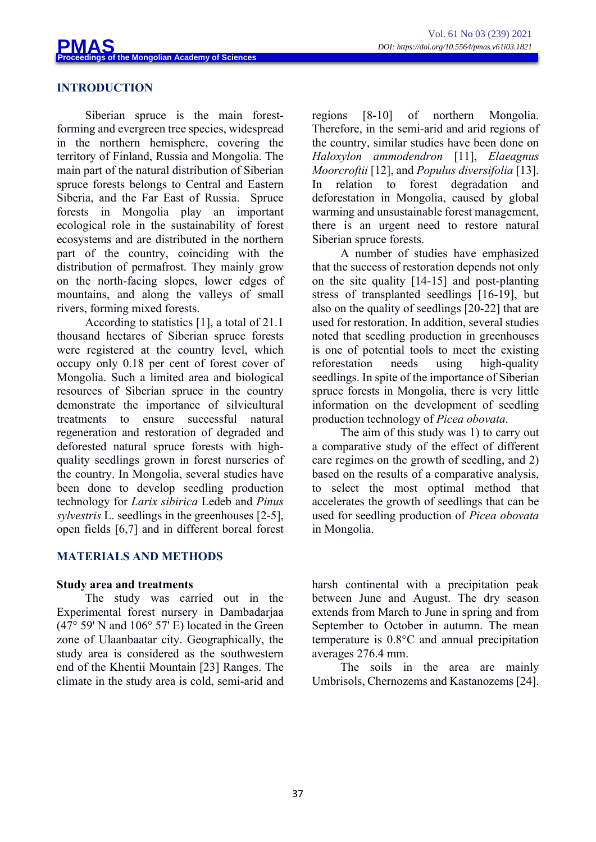## **INTRODUCTION**

Siberian spruce is the main forestforming and evergreen tree species, widespread in the northern hemisphere, covering the territory of Finland, Russia and Mongolia. The main part of the natural distribution of Siberian spruce forests belongs to Central and Eastern Siberia, and the Far East of Russia. Spruce forests in Mongolia play an important ecological role in the sustainability of forest ecosystems and are distributed in the northern part of the country, coinciding with the distribution of permafrost. They mainly grow on the north-facing slopes, lower edges of mountains, and along the valleys of small rivers, forming mixed forests.

According to statistics [1], a total of 21.1 thousand hectares of Siberian spruce forests were registered at the country level, which occupy only 0.18 per cent of forest cover of Mongolia. Such a limited area and biological resources of Siberian spruce in the country demonstrate the importance of silvicultural treatments to ensure successful natural regeneration and restoration of degraded and deforested natural spruce forests with highquality seedlings grown in forest nurseries of the country. In Mongolia, several studies have been done to develop seedling production technology for *Larix sibirica* Ledeb and *Pinus sylvestris* L. seedlings in the greenhouses [2-5], open fields [6,7] and in different boreal forest

## **MATERIALS AND METHODS**

## **Study area and treatments**

The study was carried out in the Experimental forest nursery in Dambadarjaa (47° 59' N and 106° 57' E) located in the Green zone of Ulaanbaatar city. Geographically, the study area is considered as the southwestern end of the Khentii Mountain [23] Ranges. The climate in the study area is cold, semi-arid and regions [8-10] of northern Mongolia. Therefore, in the semi-arid and arid regions of the country, similar studies have been done on *Haloxylon ammodendron* [11], *Elaeagnus Moorcroftii* [12], and *Populus diversifolia* [13]. In relation to forest degradation and deforestation in Mongolia, caused by global warming and unsustainable forest management, there is an urgent need to restore natural Siberian spruce forests.

A number of studies have emphasized that the success of restoration depends not only on the site quality [14-15] and post-planting stress of transplanted seedlings [16-19], but also on the quality of seedlings [20-22] that are used for restoration. In addition, several studies noted that seedling production in greenhouses is one of potential tools to meet the existing reforestation needs using high-quality seedlings. In spite of the importance of Siberian spruce forests in Mongolia, there is very little information on the development of seedling production technology of *Picea obovata*.

The aim of this study was 1) to carry out a comparative study of the effect of different care regimes on the growth of seedling, and 2) based on the results of a comparative analysis, to select the most optimal method that accelerates the growth of seedlings that can be used for seedling production of *Picea obovata* in Mongolia.

harsh continental with a precipitation peak between June and August. The dry season extends from March to June in spring and from September to October in autumn. The mean temperature is 0.8°C and annual precipitation averages 276.4 mm.

The soils in the area are mainly Umbrisols, Chernozems and Kastanozems [24].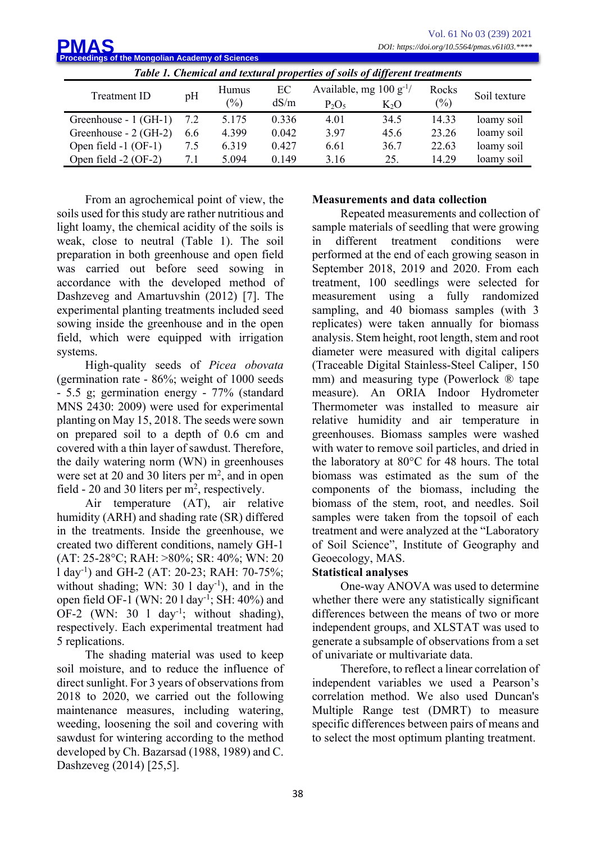| Vol. 61 No 03 (239) 2021<br><b>PMAS</b><br>DOI: https://doi.org/10.5564/pmas.v61i03.****<br><b>Proceedings of the Mongolian Academy of Sciences</b> |     |                 |            |                                          |        |                 |              |  |  |
|-----------------------------------------------------------------------------------------------------------------------------------------------------|-----|-----------------|------------|------------------------------------------|--------|-----------------|--------------|--|--|
| Table 1. Chemical and textural properties of soils of different treatments                                                                          |     |                 |            |                                          |        |                 |              |  |  |
| Treatment ID                                                                                                                                        | pH  | Humus<br>$(\%)$ | EC<br>dS/m | Available, mg $100 g^{-1}$ /<br>$P_2O_5$ | $K_2O$ | Rocks<br>$(\%)$ | Soil texture |  |  |
| Greenhouse - 1 (GH-1)                                                                                                                               | 7.2 | 5.175           | 0.336      | 4.01                                     | 34.5   | 14.33           | loamy soil   |  |  |
| Greenhouse - 2 (GH-2)                                                                                                                               | 6.6 | 4.399           | 0.042      | 397                                      | 45.6   | 23.26           | loamy soil   |  |  |
| Open field -1 (OF-1)                                                                                                                                | 7.5 | 6.319           | 0.427      | 6.61                                     | 36.7   | 22.63           | loamy soil   |  |  |
| Open field -2 (OF-2)                                                                                                                                | 7.1 | 5.094           | 0.149      | 3.16                                     | 25.    | 14.29           | loamy soil   |  |  |

From an agrochemical point of view, the soils used for this study are rather nutritious and light loamy, the chemical acidity of the soils is weak, close to neutral (Table 1). The soil preparation in both greenhouse and open field was carried out before seed sowing in accordance with the developed method of Dashzeveg and Amartuvshin (2012) [7]. The experimental planting treatments included seed sowing inside the greenhouse and in the open field, which were equipped with irrigation systems.

High-quality seeds of *Picea obovata* (germination rate - 86%; weight of 1000 seeds - 5.5 g; germination energy - 77% (standard MNS 2430: 2009) were used for experimental planting on May 15, 2018. The seeds were sown on prepared soil to a depth of 0.6 cm and covered with a thin layer of sawdust. Therefore, the daily watering norm (WN) in greenhouses were set at 20 and 30 liters per m<sup>2</sup>, and in open field - 20 and 30 liters per  $m<sup>2</sup>$ , respectively.

Air temperature (AT), air relative humidity (ARH) and shading rate (SR) differed in the treatments. Inside the greenhouse, we created two different conditions, namely GH-1 (AT: 25-28°C; RAH: >80%; SR: 40%; WN: 20 l day-1 ) and GH-2 (AT: 20-23; RAH: 70-75%; without shading; WN:  $30 \frac{1}{\text{day}^1}$ , and in the open field OF-1 (WN: 20 l day-1 ; SH: 40%) and OF-2 (WN: 30  $1$  day<sup>-1</sup>; without shading), respectively. Each experimental treatment had 5 replications.

The shading material was used to keep soil moisture, and to reduce the influence of direct sunlight. For 3 years of observations from 2018 to 2020, we carried out the following maintenance measures, including watering, weeding, loosening the soil and covering with sawdust for wintering according to the method developed by Ch. Bazarsad (1988, 1989) and C. Dashzeveg (2014) [25,5].

### **Measurements and data collection**

Repeated measurements and collection of sample materials of seedling that were growing in different treatment conditions were performed at the end of each growing season in September 2018, 2019 and 2020. From each treatment, 100 seedlings were selected for measurement using a fully randomized sampling, and 40 biomass samples (with 3 replicates) were taken annually for biomass analysis. Stem height, root length, stem and root diameter were measured with digital calipers (Traceable Digital Stainless-Steel Caliper, 150 mm) and measuring type (Powerlock ® tape measure). An ORIA Indoor Hydrometer Thermometer was installed to measure air relative humidity and air temperature in greenhouses. Biomass samples were washed with water to remove soil particles, and dried in the laboratory at 80°C for 48 hours. The total biomass was estimated as the sum of the components of the biomass, including the biomass of the stem, root, and needles. Soil samples were taken from the topsoil of each treatment and were analyzed at the "Laboratory of Soil Science", Institute of Geography and Geoecology, MAS.

### **Statistical analyses**

One-way ANOVA was used to determine whether there were any statistically significant differences between the means of two or more independent groups, and XLSTAT was used to generate a subsample of observations from a set of univariate or multivariate data.

Therefore, to reflect a linear correlation of independent variables we used a Pearson's correlation method. We also used Duncan's Multiple Range test (DMRT) to measure specific differences between pairs of means and to select the most optimum planting treatment.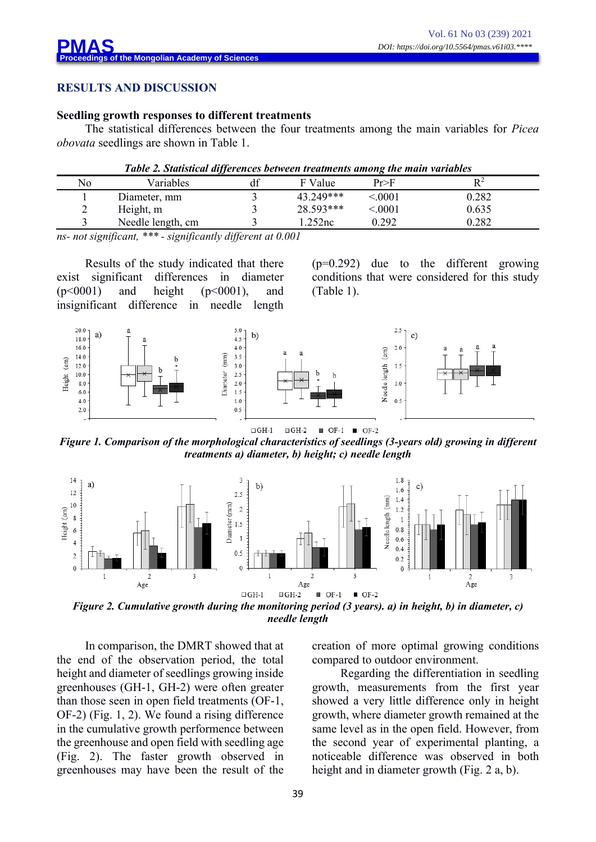## **RESULTS AND DISCUSSION**

### **Seedling growth responses to different treatments**

The statistical differences between the four treatments among the main variables for *Picea obovata* seedlings are shown in Table 1.

|    | Table 2, Suitistical afferences between treatments among the main variables |               |           |        |       |
|----|-----------------------------------------------------------------------------|---------------|-----------|--------|-------|
| No | Variables                                                                   |               | F Value   | Pr>F   |       |
|    | Diameter, mm                                                                |               | 43 249*** | < 0001 | 0.282 |
|    | Height, m                                                                   |               | 28.593*** | < 0001 | 0.635 |
|    | Needle length, cm                                                           |               | i 252nc   | 0 292  | 0.282 |
|    |                                                                             | $\sim$ $\sim$ | - - - -   |        |       |

*Table 2. Statistical differences between treatments among the main variables*

*ns- not significant, \*\*\* - significantly different at 0.001*

Results of the study indicated that there exist significant differences in diameter  $(p<0001)$  and height  $(p<0001)$ , and insignificant difference in needle length (p=0.292) due to the different growing conditions that were considered for this study (Table 1).



*Figure 1. Comparison of the morphological characteristics of seedlings (3-years old) growing in different treatments a) diameter, b) height; c) needle length*



*needle length*

In comparison, the DMRT showed that at the end of the observation period, the total height and diameter of seedlings growing inside greenhouses (GH-1, GH-2) were often greater than those seen in open field treatments (OF-1, OF-2) (Fig. 1, 2). We found a rising difference in the cumulative growth performence between the greenhouse and open field with seedling age (Fig. 2). The faster growth observed in greenhouses may have been the result of the creation of more optimal growing conditions compared to outdoor environment.

Regarding the differentiation in seedling growth, measurements from the first year showed a very little difference only in height growth, where diameter growth remained at the same level as in the open field. However, from the second year of experimental planting, a noticeable difference was observed in both height and in diameter growth (Fig. 2 a, b).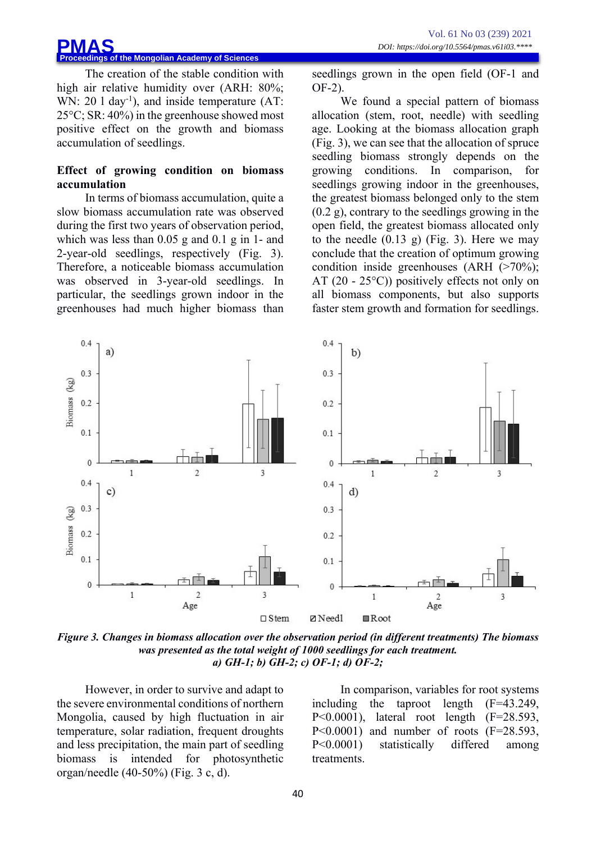#### **Profit of the Mongolian Academy of Sciences PMAS**

The creation of the stable condition with high air relative humidity over (ARH: 80%; WN:  $20 \, 1 \, \text{day}^{-1}$ ), and inside temperature (AT: 25°C; SR: 40%) in the greenhouse showed most positive effect on the growth and biomass accumulation of seedlings.

### **Effect of growing condition on biomass accumulation**

In terms of biomass accumulation, quite a slow biomass accumulation rate was observed during the first two years of observation period, which was less than 0.05 g and 0.1 g in 1- and 2-year-old seedlings, respectively (Fig. 3). Therefore, a noticeable biomass accumulation was observed in 3-year-old seedlings. In particular, the seedlings grown indoor in the greenhouses had much higher biomass than seedlings grown in the open field (OF-1 and OF-2).

We found a special pattern of biomass allocation (stem, root, needle) with seedling age. Looking at the biomass allocation graph (Fig. 3), we can see that the allocation of spruce seedling biomass strongly depends on the growing conditions. In comparison, for seedlings growing indoor in the greenhouses, the greatest biomass belonged only to the stem (0.2 g), contrary to the seedlings growing in the open field, the greatest biomass allocated only to the needle  $(0.13 \text{ g})$  (Fig. 3). Here we may conclude that the creation of optimum growing condition inside greenhouses (ARH (>70%); AT  $(20 - 25^{\circ}C)$  positively effects not only on all biomass components, but also supports faster stem growth and formation for seedlings.



*Figure 3. Changes in biomass allocation over the observation period (in different treatments) The biomass was presented as the total weight of 1000 seedlings for each treatment. a) GH-1; b) GH-2; c) OF-1; d) OF-2;*

However, in order to survive and adapt to the severe environmental conditions of northern Mongolia, caused by high fluctuation in air temperature, solar radiation, frequent droughts and less precipitation, the main part of seedling biomass is intended for photosynthetic organ/needle (40-50%) (Fig. 3 c, d).

In comparison, variables for root systems including the taproot length (F=43.249, P<0.0001), lateral root length (F=28.593,  $P \leq 0.0001$  and number of roots  $(F=28.593)$ . P<0.0001) statistically differed among treatments.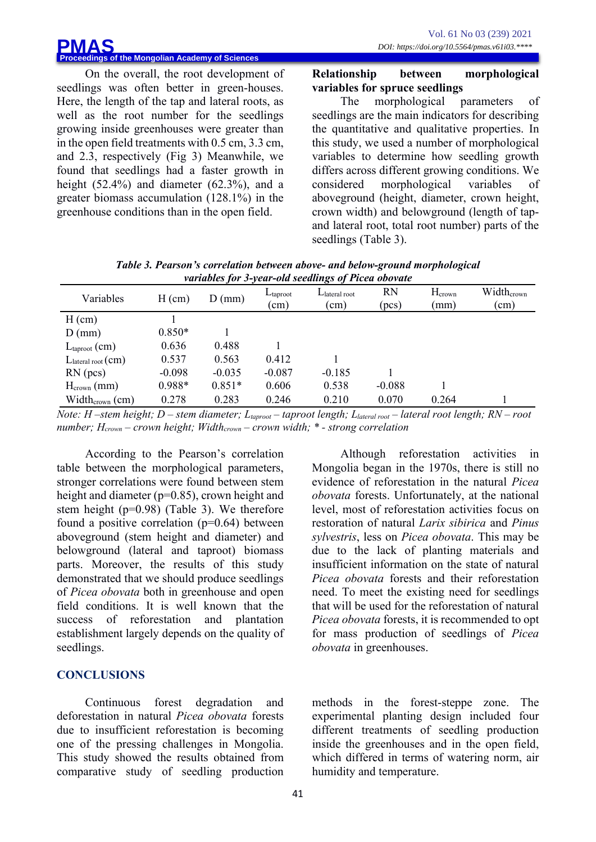On the overall, the root development of seedlings was often better in green-houses. Here, the length of the tap and lateral roots, as well as the root number for the seedlings growing inside greenhouses were greater than in the open field treatments with 0.5 cm, 3.3 cm, and 2.3, respectively (Fig 3) Meanwhile, we found that seedlings had a faster growth in height (52.4%) and diameter (62.3%), and a greater biomass accumulation (128.1%) in the greenhouse conditions than in the open field.

### **Relationship between morphological variables for spruce seedlings**

The morphological parameters of seedlings are the main indicators for describing the quantitative and qualitative properties. In this study, we used a number of morphological variables to determine how seedling growth differs across different growing conditions. We considered morphological variables of aboveground (height, diameter, crown height, crown width) and belowground (length of tapand lateral root, total root number) parts of the seedlings (Table 3).

| Variables                     | $H$ (cm) | $D$ (mm) | $L$ taproot<br>$\rm (cm)$ | $L$ lateral root<br>$\rm (cm)$ | <b>RN</b><br>(pcs) | Hcrown<br>mm) | Widthcrown<br>(cm) |
|-------------------------------|----------|----------|---------------------------|--------------------------------|--------------------|---------------|--------------------|
| $H$ (cm)                      |          |          |                           |                                |                    |               |                    |
| $D$ (mm)                      | $0.850*$ |          |                           |                                |                    |               |                    |
| $L_{\text{taproot}}$ (cm)     | 0.636    | 0.488    |                           |                                |                    |               |                    |
| $L_{\text{lateral root}}(cm)$ | 0.537    | 0.563    | 0.412                     |                                |                    |               |                    |
| RN(pcs)                       | $-0.098$ | $-0.035$ | $-0.087$                  | $-0.185$                       |                    |               |                    |
| $H_{\text{crown}}$ (mm)       | $0.988*$ | $0.851*$ | 0.606                     | 0.538                          | $-0.088$           |               |                    |
| Width <sub>crown</sub> (cm)   | 0.278    | 0.283    | 0.246                     | 0.210                          | 0.070              | 0.264         |                    |

*Table 3. Pearson's correlation between above- and below-ground morphological variables for 3-year-old seedlings of Picea obovate*

*Note: H –stem height; D – stem diameter; Ltaproot – taproot length; Llateral root – lateral root length; RN – root number; Hcrown – crown height; Widthcrown – crown width; \* - strong correlation*

According to the Pearson's correlation table between the morphological parameters, stronger correlations were found between stem height and diameter (p=0.85), crown height and stem height (p=0.98) (Table 3). We therefore found a positive correlation (p=0.64) between aboveground (stem height and diameter) and belowground (lateral and taproot) biomass parts. Moreover, the results of this study demonstrated that we should produce seedlings of *Picea obovata* both in greenhouse and open field conditions. It is well known that the success of reforestation and plantation establishment largely depends on the quality of seedlings.

## **CONCLUSIONS**

Continuous forest degradation and deforestation in natural *Picea obovata* forests due to insufficient reforestation is becoming one of the pressing challenges in Mongolia. This study showed the results obtained from comparative study of seedling production

Although reforestation activities in Mongolia began in the 1970s, there is still no evidence of reforestation in the natural *Picea obovata* forests. Unfortunately, at the national level, most of reforestation activities focus on restoration of natural *Larix sibirica* and *Pinus sylvestris*, less on *Picea obovata*. This may be due to the lack of planting materials and insufficient information on the state of natural *Picea obovata* forests and their reforestation need. To meet the existing need for seedlings that will be used for the reforestation of natural *Picea obovata* forests, it is recommended to opt for mass production of seedlings of *Picea obovata* in greenhouses.

methods in the forest-steppe zone. The experimental planting design included four different treatments of seedling production inside the greenhouses and in the open field, which differed in terms of watering norm, air humidity and temperature.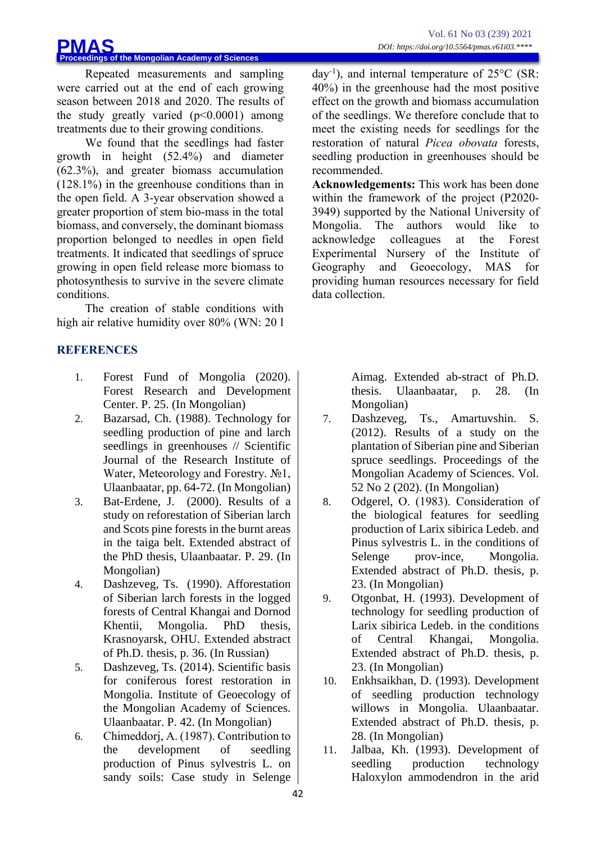### **Proceedings of the Mongolian Academy of Sciences PMAS**

Repeated measurements and sampling were carried out at the end of each growing season between 2018 and 2020. The results of the study greatly varied  $(p<0.0001)$  among treatments due to their growing conditions.

We found that the seedlings had faster growth in height (52.4%) and diameter (62.3%), and greater biomass accumulation (128.1%) in the greenhouse conditions than in the open field. A 3-year observation showed a greater proportion of stem bio-mass in the total biomass, and conversely, the dominant biomass proportion belonged to needles in open field treatments. It indicated that seedlings of spruce growing in open field release more biomass to photosynthesis to survive in the severe climate conditions.

The creation of stable conditions with high air relative humidity over 80% (WN: 20 l

# **REFERENCES**

- 1. Forest Fund of Mongolia (2020). Forest Research and Development Center. P. 25. (In Mongolian)
- 2. Bazarsad, Ch. (1988). Technology for seedling production of pine and larch seedlings in greenhouses // Scientific Journal of the Research Institute of Water, Meteorology and Forestry. №1, Ulaanbaatar, pp. 64-72. (In Mongolian)
- 3. Bat-Erdene, J. (2000). Results of a study on reforestation of Siberian larch and Scots pine forests in the burnt areas in the taiga belt. Extended abstract of the PhD thesis, Ulaanbaatar. P. 29. (In Mongolian)
- 4. Dashzeveg, Ts. (1990). Afforestation of Siberian larch forests in the logged forests of Central Khangai and Dornod Khentii, Mongolia. PhD thesis, Krasnoyarsk, OHU. Extended abstract of Ph.D. thesis, p. 36. (In Russian)
- 5. Dashzeveg, Ts. (2014). Scientific basis for coniferous forest restoration in Mongolia. Institute of Geoecology of the Mongolian Academy of Sciences. Ulaanbaatar. P. 42. (In Mongolian)
- 6. Chimeddorj, А. (1987). Contribution to the development of seedling production of Pinus sylvestris L. on sandy soils: Case study in Selenge

day-1 ), and internal temperature of 25°C (SR: 40%) in the greenhouse had the most positive effect on the growth and biomass accumulation of the seedlings. We therefore conclude that to meet the existing needs for seedlings for the restoration of natural *Picea obovata* forests, seedling production in greenhouses should be recommended.

**Acknowledgements:** This work has been done within the framework of the project (P2020- 3949) supported by the National University of Mongolia. The authors would like to acknowledge colleagues at the Forest Experimental Nursery of the Institute of Geography and Geoecology, MAS for providing human resources necessary for field data collection.

> Aimag. Extended ab-stract of Ph.D. thesis. Ulaanbaatar, p. 28. (In Mongolian)

- 7. Dashzeveg, Ts., Amartuvshin. S. (2012). Results of a study on the plantation of Siberian pine and Siberian spruce seedlings. Proceedings of the Mongolian Academy of Sciences. Vol. 52 No 2 (202). (In Mongolian)
- 8. Odgerel, О. (1983). Consideration of the biological features for seedling production of Larix sibirica Ledeb. and Pinus sylvestris L. in the conditions of Selenge prov-ince, Mongolia. Extended abstract of Ph.D. thesis, p. 23. (In Mongolian)
- 9. Otgonbat, H. (1993). Development of technology for seedling production of Larix sibirica Ledeb. in the conditions of Central Khangai, Mongolia. Extended abstract of Ph.D. thesis, p. 23. (In Mongolian)
- 10. Enkhsaikhan, D. (1993). Development of seedling production technology willows in Mongolia. Ulaanbaatar. Extended abstract of Ph.D. thesis, p. 28. (In Mongolian)
- 11. Jalbaa, Kh. (1993). Development of seedling production technology Haloxylon ammodendron in the arid